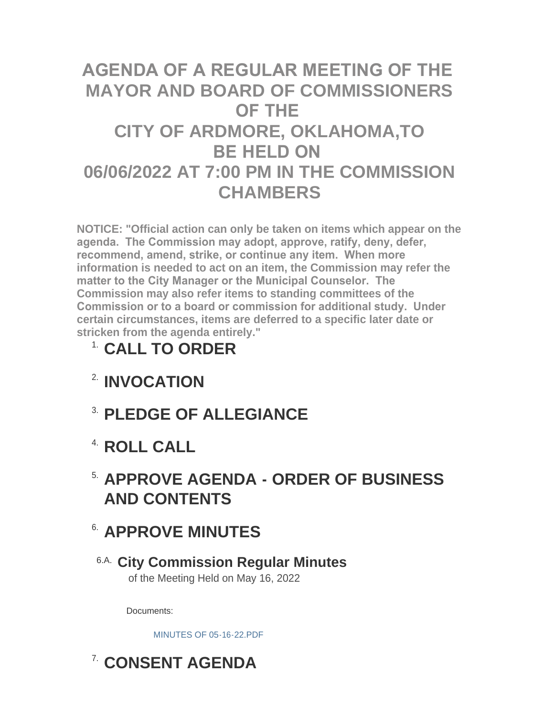# **AGENDA OF A REGULAR MEETING OF THE MAYOR AND BOARD OF COMMISSIONERS OF THE CITY OF ARDMORE, OKLAHOMA,TO BE HELD ON 06/06/2022 AT 7:00 PM IN THE COMMISSION CHAMBERS**

**NOTICE: "Official action can only be taken on items which appear on the agenda. The Commission may adopt, approve, ratify, deny, defer, recommend, amend, strike, or continue any item. When more information is needed to act on an item, the Commission may refer the matter to the City Manager or the Municipal Counselor. The Commission may also refer items to standing committees of the Commission or to a board or commission for additional study. Under certain circumstances, items are deferred to a specific later date or stricken from the agenda entirely."**

# **CALL TO ORDER** 1.

- **INVOCATION** 2.
- **PLEDGE OF ALLEGIANCE** 3.
- **ROLL CALL** 4.
- **APPROVE AGENDA ORDER OF BUSINESS**  5. **AND CONTENTS**

# **APPROVE MINUTES** 6.

**City Commission Regular Minutes** 6.A. of the Meeting Held on May 16, 2022

Documents:

[MINUTES OF 05-16-22.PDF](http://www.ardmorecity.org/AgendaCenter/ViewFile/Item/8538?fileID=5106)

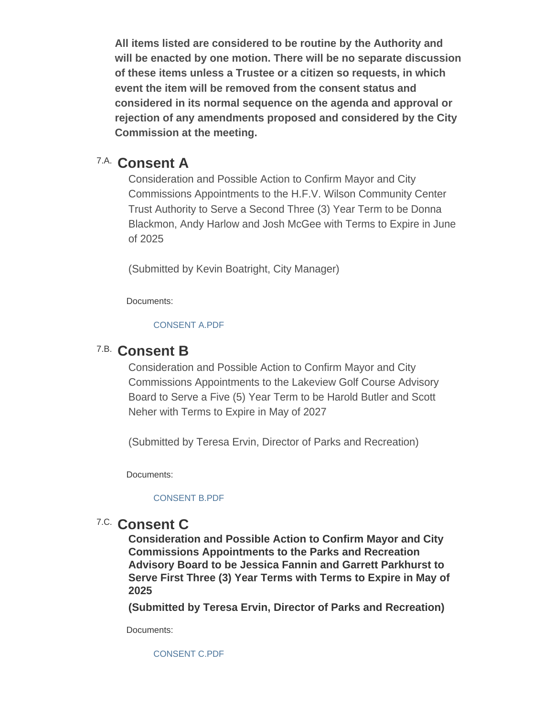**All items listed are considered to be routine by the Authority and will be enacted by one motion. There will be no separate discussion of these items unless a Trustee or a citizen so requests, in which event the item will be removed from the consent status and considered in its normal sequence on the agenda and approval or rejection of any amendments proposed and considered by the City Commission at the meeting.**

## **Consent A** 7.A.

Consideration and Possible Action to Confirm Mayor and City Commissions Appointments to the H.F.V. Wilson Community Center Trust Authority to Serve a Second Three (3) Year Term to be Donna Blackmon, Andy Harlow and Josh McGee with Terms to Expire in June of 2025

(Submitted by Kevin Boatright, City Manager)

Documents:

#### [CONSENT A.PDF](http://www.ardmorecity.org/AgendaCenter/ViewFile/Item/8529?fileID=5107)

## **Consent B** 7.B.

Consideration and Possible Action to Confirm Mayor and City Commissions Appointments to the Lakeview Golf Course Advisory Board to Serve a Five (5) Year Term to be Harold Butler and Scott Neher with Terms to Expire in May of 2027

(Submitted by Teresa Ervin, Director of Parks and Recreation)

Documents:

#### [CONSENT B.PDF](http://www.ardmorecity.org/AgendaCenter/ViewFile/Item/8530?fileID=5108)

## 7.C. Consent C

**Consideration and Possible Action to Confirm Mayor and City Commissions Appointments to the Parks and Recreation Advisory Board to be Jessica Fannin and Garrett Parkhurst to Serve First Three (3) Year Terms with Terms to Expire in May of 2025**

**(Submitted by Teresa Ervin, Director of Parks and Recreation)**

Documents:

[CONSENT C.PDF](http://www.ardmorecity.org/AgendaCenter/ViewFile/Item/8531?fileID=5109)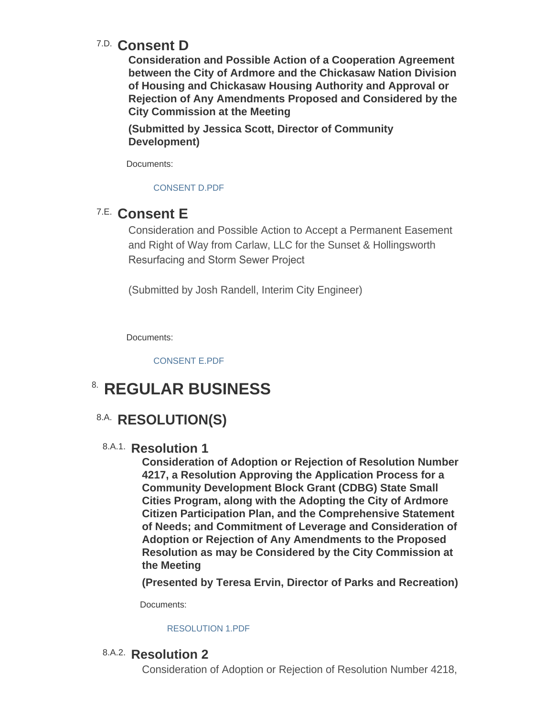# **Consent D** 7.D.

**Consideration and Possible Action of a Cooperation Agreement between the City of Ardmore and the Chickasaw Nation Division of Housing and Chickasaw Housing Authority and Approval or Rejection of Any Amendments Proposed and Considered by the City Commission at the Meeting**

**(Submitted by Jessica Scott, Director of Community Development)**

Documents:

[CONSENT D.PDF](http://www.ardmorecity.org/AgendaCenter/ViewFile/Item/8532?fileID=5110)

## **Consent E** 7.E.

Consideration and Possible Action to Accept a Permanent Easement and Right of Way from Carlaw, LLC for the Sunset & Hollingsworth Resurfacing and Storm Sewer Project

(Submitted by Josh Randell, Interim City Engineer)

Documents:

[CONSENT E.PDF](http://www.ardmorecity.org/AgendaCenter/ViewFile/Item/8540?fileID=5111)

# **8. REGULAR BUSINESS**

# 8.A. RESOLUTION(S)

8.A.1. Resolution 1

**Consideration of Adoption or Rejection of Resolution Number 4217, a Resolution Approving the Application Process for a Community Development Block Grant (CDBG) State Small Cities Program, along with the Adopting the City of Ardmore Citizen Participation Plan, and the Comprehensive Statement of Needs; and Commitment of Leverage and Consideration of Adoption or Rejection of Any Amendments to the Proposed Resolution as may be Considered by the City Commission at the Meeting**

**(Presented by Teresa Ervin, Director of Parks and Recreation)**

Documents:

#### [RESOLUTION 1.PDF](http://www.ardmorecity.org/AgendaCenter/ViewFile/Item/8533?fileID=5112)

### 8.A.2. Resolution 2

Consideration of Adoption or Rejection of Resolution Number 4218,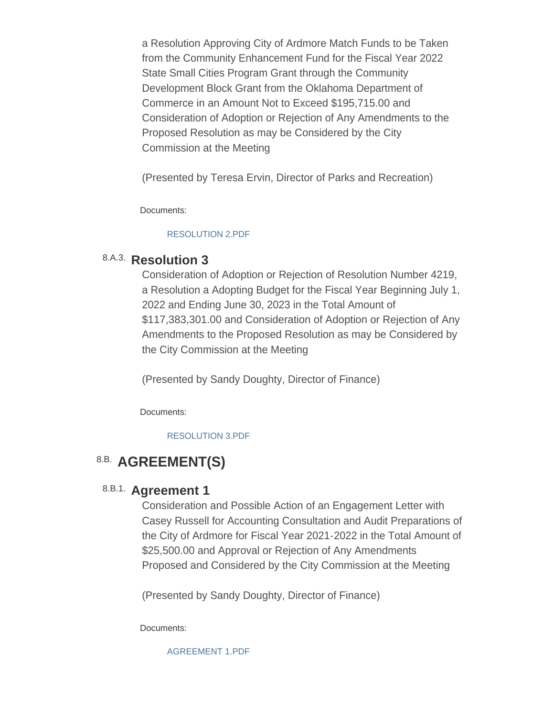a Resolution Approving City of Ardmore Match Funds to be Taken from the Community Enhancement Fund for the Fiscal Year 2022 State Small Cities Program Grant through the Community Development Block Grant from the Oklahoma Department of Commerce in an Amount Not to Exceed \$195,715.00 and Consideration of Adoption or Rejection of Any Amendments to the Proposed Resolution as may be Considered by the City Commission at the Meeting

(Presented by Teresa Ervin, Director of Parks and Recreation)

Documents:

#### [RESOLUTION 2.PDF](http://www.ardmorecity.org/AgendaCenter/ViewFile/Item/8534?fileID=5113)

### 8.A.3. Resolution 3

Consideration of Adoption or Rejection of Resolution Number 4219, a Resolution a Adopting Budget for the Fiscal Year Beginning July 1, 2022 and Ending June 30, 2023 in the Total Amount of \$117,383,301.00 and Consideration of Adoption or Rejection of Any Amendments to the Proposed Resolution as may be Considered by the City Commission at the Meeting

(Presented by Sandy Doughty, Director of Finance)

Documents:

[RESOLUTION 3.PDF](http://www.ardmorecity.org/AgendaCenter/ViewFile/Item/8535?fileID=5114)

# 8.B. AGREEMENT(S)

### 8.B.1. Agreement 1

Consideration and Possible Action of an Engagement Letter with Casey Russell for Accounting Consultation and Audit Preparations of the City of Ardmore for Fiscal Year 2021-2022 in the Total Amount of \$25,500.00 and Approval or Rejection of Any Amendments Proposed and Considered by the City Commission at the Meeting

(Presented by Sandy Doughty, Director of Finance)

Documents:

[AGREEMENT 1.PDF](http://www.ardmorecity.org/AgendaCenter/ViewFile/Item/8536?fileID=5115)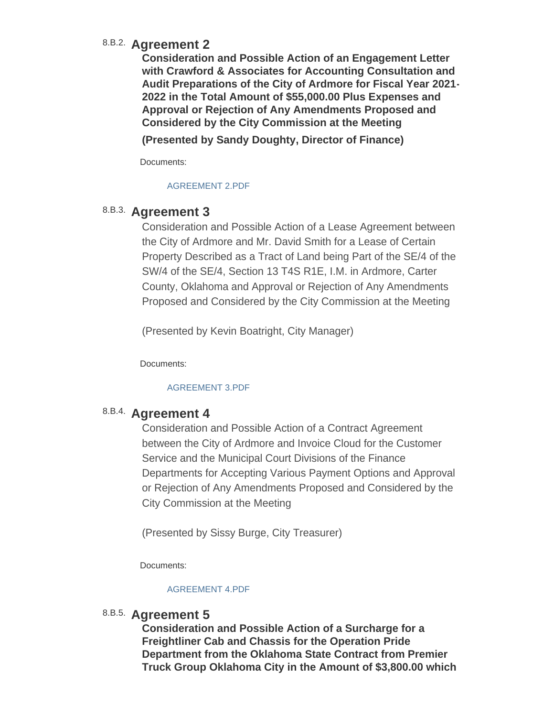### **Agreement 2** 8.B.2.

**Consideration and Possible Action of an Engagement Letter with Crawford & Associates for Accounting Consultation and Audit Preparations of the City of Ardmore for Fiscal Year 2021- 2022 in the Total Amount of \$55,000.00 Plus Expenses and Approval or Rejection of Any Amendments Proposed and Considered by the City Commission at the Meeting**

**(Presented by Sandy Doughty, Director of Finance)**

Documents:

#### [AGREEMENT 2.PDF](http://www.ardmorecity.org/AgendaCenter/ViewFile/Item/8537?fileID=5116)

### 8.B.3. Agreement 3

Consideration and Possible Action of a Lease Agreement between the City of Ardmore and Mr. David Smith for a Lease of Certain Property Described as a Tract of Land being Part of the SE/4 of the SW/4 of the SE/4, Section 13 T4S R1E, I.M. in Ardmore, Carter County, Oklahoma and Approval or Rejection of Any Amendments Proposed and Considered by the City Commission at the Meeting

(Presented by Kevin Boatright, City Manager)

Documents:

#### [AGREEMENT 3.PDF](http://www.ardmorecity.org/AgendaCenter/ViewFile/Item/8539?fileID=5117)

### **Agreement 4** 8.B.4.

Consideration and Possible Action of a Contract Agreement between the City of Ardmore and Invoice Cloud for the Customer Service and the Municipal Court Divisions of the Finance Departments for Accepting Various Payment Options and Approval or Rejection of Any Amendments Proposed and Considered by the City Commission at the Meeting

(Presented by Sissy Burge, City Treasurer)

Documents:

#### [AGREEMENT 4.PDF](http://www.ardmorecity.org/AgendaCenter/ViewFile/Item/8544?fileID=5118)

### 8.B.5. Agreement 5

**Consideration and Possible Action of a Surcharge for a Freightliner Cab and Chassis for the Operation Pride Department from the Oklahoma State Contract from Premier Truck Group Oklahoma City in the Amount of \$3,800.00 which**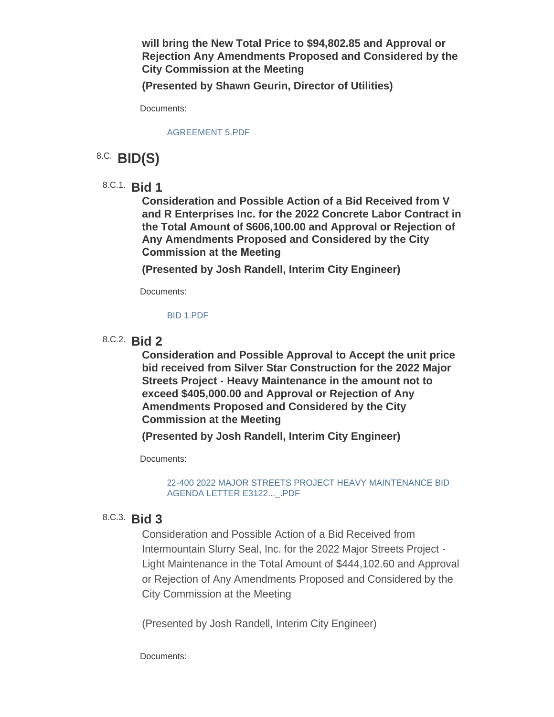**will bring the New Total Price to \$94,802.85 and Approval or Rejection Any Amendments Proposed and Considered by the City Commission at the Meeting**

**Truck Group Oklahoma City in the Amount of \$3,800.00 which** 

**(Presented by Shawn Geurin, Director of Utilities)**

Documents:

[AGREEMENT 5.PDF](http://www.ardmorecity.org/AgendaCenter/ViewFile/Item/8560?fileID=5125)

# **BID(S)** 8.C.

**Bid 1** 8.C.1.

**Consideration and Possible Action of a Bid Received from V and R Enterprises Inc. for the 2022 Concrete Labor Contract in the Total Amount of \$606,100.00 and Approval or Rejection of Any Amendments Proposed and Considered by the City Commission at the Meeting** 

**(Presented by Josh Randell, Interim City Engineer)**

Documents:

#### [BID 1.PDF](http://www.ardmorecity.org/AgendaCenter/ViewFile/Item/8541?fileID=5119)

**Bid 2** 8.C.2.

**Consideration and Possible Approval to Accept the unit price bid received from Silver Star Construction for the 2022 Major Streets Project - Heavy Maintenance in the amount not to exceed \$405,000.00 and Approval or Rejection of Any Amendments Proposed and Considered by the City Commission at the Meeting**

**(Presented by Josh Randell, Interim City Engineer)**

Documents:

[22-400 2022 MAJOR STREETS PROJECT HEAVY MAINTENANCE BID](http://www.ardmorecity.org/AgendaCenter/ViewFile/Item/8542?fileID=5127)  AGENDA LETTER E3122...\_.PDF

### **Bid 3** 8.C.3.

Consideration and Possible Action of a Bid Received from Intermountain Slurry Seal, Inc. for the 2022 Major Streets Project - Light Maintenance in the Total Amount of \$444,102.60 and Approval or Rejection of Any Amendments Proposed and Considered by the City Commission at the Meeting

(Presented by Josh Randell, Interim City Engineer)

Documents: